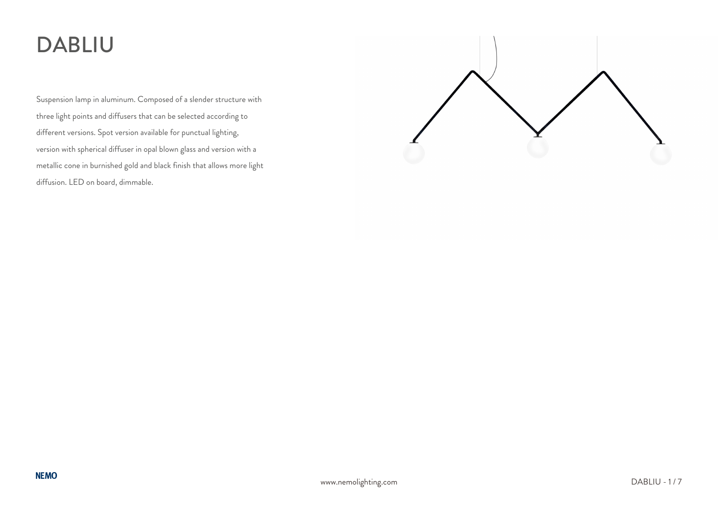# DABLIU

Suspension lamp in aluminum. Composed of a slender structure with three light points and diffusers that can be selected according to different versions. Spot version available for punctual lighting, version with spherical diffuser in opal blown glass and version with a metallic cone in burnished gold and black finish that allows more light diffusion. LED on board, dimmable.

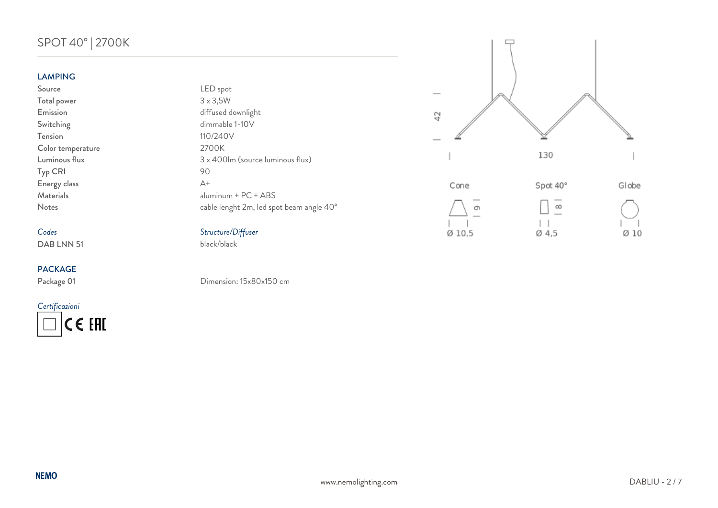# SPOT 40° | 2700K

### LAMPING

### *Codes Structure/Diffuser* DAB LNN 51

### PACKAGE

*Certificazioni* CE EHI

| -----------       |                                          |
|-------------------|------------------------------------------|
| Source            | LED spot                                 |
| Total power       | $3 \times 3,5W$                          |
| Emission          | diffused downlight                       |
| Switching         | dimmable 1-10V                           |
| Tension           | 110/240V                                 |
| Color temperature | 2700K                                    |
| Luminous flux     | 3 x 400lm (source luminous flux)         |
| Typ CRI           | 90                                       |
| Energy class      | $A+$                                     |
| Materials         | $aluminum + PC + ABS$                    |
| <b>Notes</b>      | cable lenght 2m, led spot beam angle 40° |
|                   |                                          |





Package 01 Dimension: 15x80x150 cm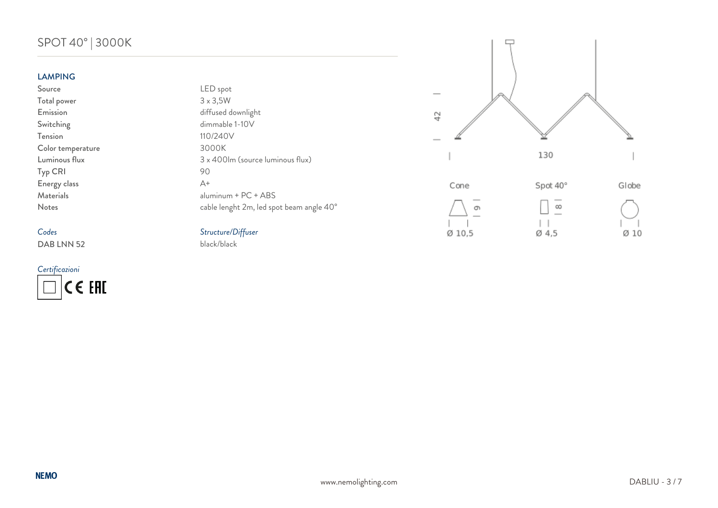# SPOT 40° | 3000K

### LAMPING

## *Codes Structure/Diffuser* DAB LNN 52

*Certificazioni* CE EAL

| LAMFING           |                                          |
|-------------------|------------------------------------------|
| Source            | LED spot                                 |
| Total power       | $3 \times 3,5W$                          |
| Emission          | diffused downlight                       |
| Switching         | dimmable 1-10V                           |
| Tension           | 110/240V                                 |
| Color temperature | 3000K                                    |
| Luminous flux     | 3 x 400lm (source luminous flux)         |
| Typ CRI           | 90                                       |
| Energy class      | $A+$                                     |
| Materials         | $aluminum + PC + ABS$                    |
| <b>Notes</b>      | cable lenght 2m, led spot beam angle 40° |
|                   |                                          |



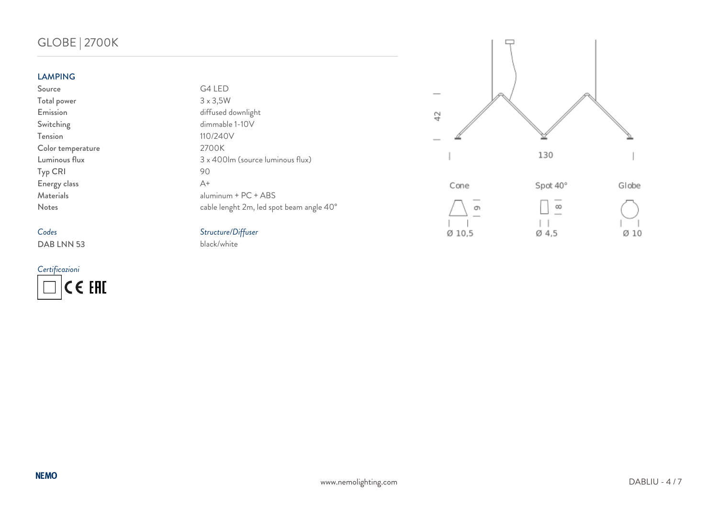# GLOBE | 2700K

### LAMPING

# *Codes Structure/Diffuser*

DAB LNN 53

*Certificazioni* CE EAL

| LAMPING           |                                          |
|-------------------|------------------------------------------|
| Source            | G4 LED                                   |
| Total power       | $3 \times 3,5W$                          |
| Emission          | diffused downlight                       |
| Switching         | dimmable 1-10V                           |
| Tension           | 110/240V                                 |
| Color temperature | 2700K                                    |
| Luminous flux     | 3 x 400lm (source luminous flux)         |
| Typ CRI           | 90                                       |
| Energy class      | $\Delta +$                               |
| Materials         | $aluminum + PC + ABS$                    |
| <b>Notes</b>      | cable lenght 2m, led spot beam angle 40° |
|                   |                                          |



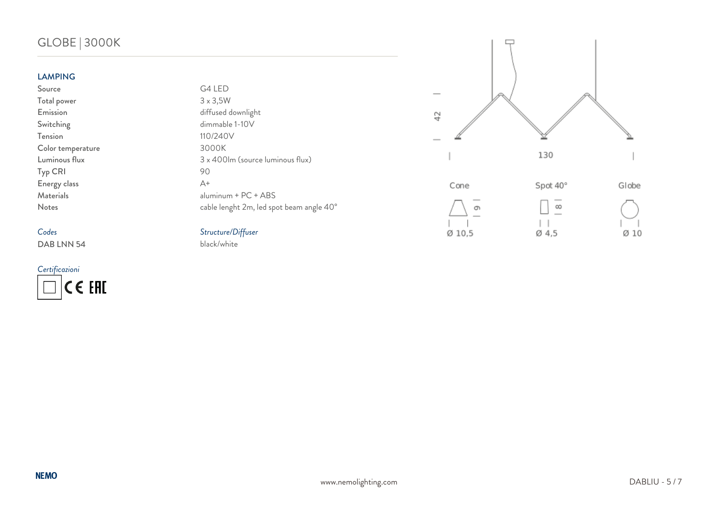# GLOBE | 3000K

### LAMPING

## *Codes Structure/Diffuser* DAB LNN 54

*Certificazioni* CE EAL

| LAMPING           |                                          |
|-------------------|------------------------------------------|
| Source            | G4 LED                                   |
| Total power       | $3 \times 3,5W$                          |
| Emission          | diffused downlight                       |
| Switching         | dimmable 1-10V                           |
| Tension           | 110/240V                                 |
| Color temperature | 3000K                                    |
| Luminous flux     | 3 x 400lm (source luminous flux)         |
| Typ CRI           | 90                                       |
| Energy class      | $\Delta +$                               |
| Materials         | aluminum + PC + ABS                      |
| <b>Notes</b>      | cable lenght 2m, led spot beam angle 40° |
|                   |                                          |



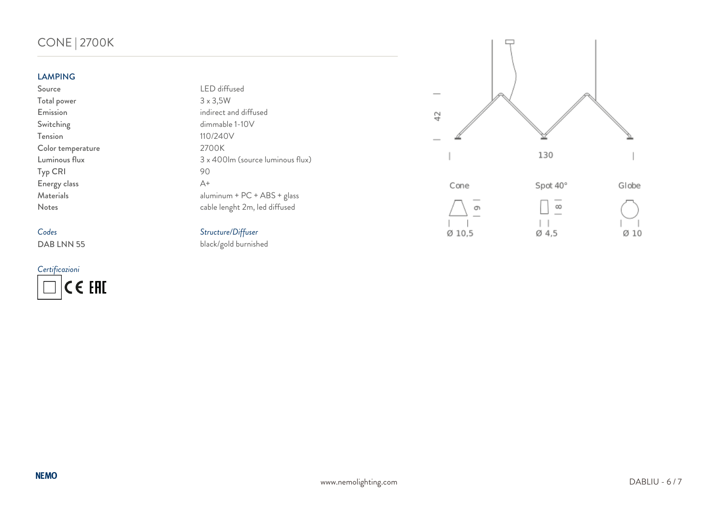# CONE | 2700K

### LAMPING

# *Codes Structure/Diffuser*

*Certificazioni* CE EAL

| Source            | LED diffused                     |
|-------------------|----------------------------------|
| Total power       | $3 \times 3,5W$                  |
| Emission          | indirect and diffused            |
| Switching         | dimmable 1-10V                   |
| Tension           | 110/240V                         |
| Color temperature | 2700K                            |
| Luminous flux     | 3 x 400lm (source luminous flux) |
| Typ CRI           | 90                               |
| Energy class      | $A+$                             |
| Materials         | $aluminum + PC + ABS + glass$    |
| <b>Notes</b>      | cable lenght 2m, led diffused    |
|                   |                                  |





black/gold burnished